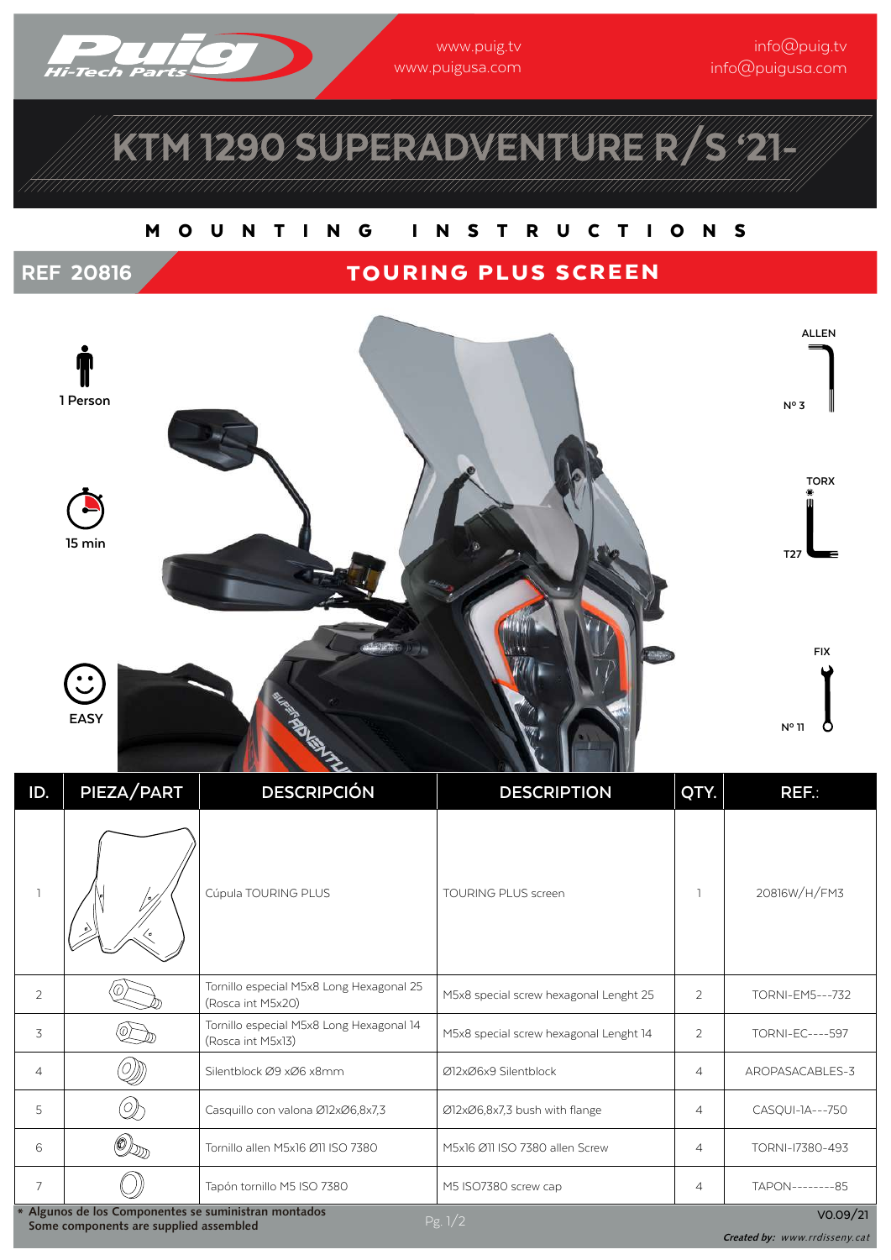

www.puig.tv www.puigusa.com

info@puig.tv info@puigusa.com

# KTM 1290 SUPERADVENTURE R/S '21-

### M O U N T I N G I N S T R U C T I O N S

## REF 20816 TOURING PLUS SCREEN



| ID.                                                                                                                   | PIEZA/PART | <b>DESCRIPCIÓN</b>                                            | <b>DESCRIPTION</b>                     | QTY.           | REF.:                  |
|-----------------------------------------------------------------------------------------------------------------------|------------|---------------------------------------------------------------|----------------------------------------|----------------|------------------------|
| $\mathbb{I}$                                                                                                          |            | Cúpula TOURING PLUS                                           | <b>TOURING PLUS screen</b>             |                | 20816W/H/FM3           |
| 2                                                                                                                     |            | Tornillo especial M5x8 Long Hexagonal 25<br>(Rosca int M5x20) | M5x8 special screw hexagonal Lenght 25 | 2              | TORNI-EM5---732        |
| 3                                                                                                                     |            | Tornillo especial M5x8 Long Hexagonal 14<br>(Rosca int M5x13) | M5x8 special screw hexagonal Lenght 14 | $\overline{2}$ | <b>TORNI-EC----597</b> |
| $\overline{4}$                                                                                                        |            | Silentblock Ø9 xØ6 x8mm                                       | Ø12xØ6x9 Silentblock                   | $\overline{4}$ | AROPASACABLES-3        |
| 5                                                                                                                     | D)         | Casquillo con valona Ø12xØ6,8x7,3                             | Ø12xØ6,8x7,3 bush with flange          | $\overline{4}$ | CASQUI-1A---750        |
| 6                                                                                                                     |            | Tornillo allen M5x16 Ø11 ISO 7380                             | M5x16 Ø11 ISO 7380 allen Screw         | $\overline{4}$ | TORNI-17380-493        |
| $\overline{7}$                                                                                                        |            | Tapón tornillo M5 ISO 7380                                    | M5 ISO7380 screw cap                   | $\overline{4}$ | TAPON---------85       |
| Algunos de los Componentes se suministran montados<br>VO.09/21<br>Pg. $1/2$<br>Some components are supplied assembled |            |                                                               |                                        |                |                        |